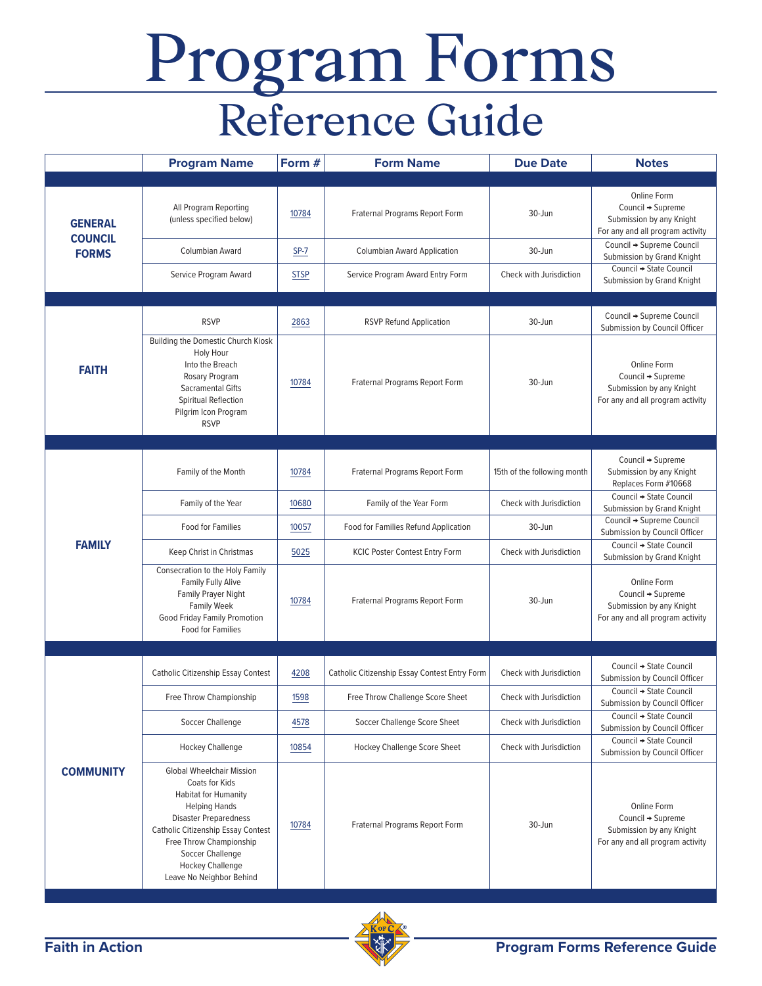## Program Forms Reference Guide

|                                                  | <b>Program Name</b>                                                                                                                                                                                                                                                                   | Form #      | <b>Form Name</b>                              | <b>Due Date</b>             | <b>Notes</b>                                                                                     |
|--------------------------------------------------|---------------------------------------------------------------------------------------------------------------------------------------------------------------------------------------------------------------------------------------------------------------------------------------|-------------|-----------------------------------------------|-----------------------------|--------------------------------------------------------------------------------------------------|
| <b>GENERAL</b><br><b>COUNCIL</b><br><b>FORMS</b> | All Program Reporting<br>(unless specified below)                                                                                                                                                                                                                                     | 10784       | Fraternal Programs Report Form                | 30-Jun                      | Online Form<br>Council → Supreme<br>Submission by any Knight<br>For any and all program activity |
|                                                  | Columbian Award                                                                                                                                                                                                                                                                       | $SP-7$      | <b>Columbian Award Application</b>            | 30-Jun                      | Council → Supreme Council<br>Submission by Grand Knight                                          |
|                                                  | Service Program Award                                                                                                                                                                                                                                                                 | <b>STSP</b> | Service Program Award Entry Form              | Check with Jurisdiction     | Council → State Council<br>Submission by Grand Knight                                            |
|                                                  |                                                                                                                                                                                                                                                                                       |             |                                               |                             |                                                                                                  |
| <b>FAITH</b>                                     | <b>RSVP</b>                                                                                                                                                                                                                                                                           | 2863        | <b>RSVP Refund Application</b>                | 30-Jun                      | Council → Supreme Council<br>Submission by Council Officer                                       |
|                                                  | Building the Domestic Church Kiosk<br><b>Holy Hour</b><br>Into the Breach<br>Rosary Program<br>Sacramental Gifts<br>Spiritual Reflection<br>Pilgrim Icon Program<br><b>RSVP</b>                                                                                                       | 10784       | Fraternal Programs Report Form                | 30-Jun                      | Online Form<br>Council → Supreme<br>Submission by any Knight<br>For any and all program activity |
|                                                  |                                                                                                                                                                                                                                                                                       |             |                                               |                             |                                                                                                  |
| <b>FAMILY</b>                                    | Family of the Month                                                                                                                                                                                                                                                                   | 10784       | Fraternal Programs Report Form                | 15th of the following month | Council → Supreme<br>Submission by any Knight<br>Replaces Form #10668                            |
|                                                  | Family of the Year                                                                                                                                                                                                                                                                    | 10680       | Family of the Year Form                       | Check with Jurisdiction     | Council → State Council<br>Submission by Grand Knight                                            |
|                                                  | <b>Food for Families</b>                                                                                                                                                                                                                                                              | 10057       | Food for Families Refund Application          | 30-Jun                      | Council + Supreme Council<br>Submission by Council Officer                                       |
|                                                  | Keep Christ in Christmas                                                                                                                                                                                                                                                              | 5025        | <b>KCIC Poster Contest Entry Form</b>         | Check with Jurisdiction     | Council → State Council<br>Submission by Grand Knight                                            |
|                                                  | Consecration to the Holy Family<br>Family Fully Alive<br>Family Prayer Night<br><b>Family Week</b><br>Good Friday Family Promotion<br><b>Food for Families</b>                                                                                                                        | 10784       | Fraternal Programs Report Form                | 30-Jun                      | Online Form<br>Council → Supreme<br>Submission by any Knight<br>For any and all program activity |
|                                                  |                                                                                                                                                                                                                                                                                       |             |                                               |                             |                                                                                                  |
| <b>COMMUNITY</b>                                 | <b>Catholic Citizenship Essay Contest</b>                                                                                                                                                                                                                                             | 4208        | Catholic Citizenship Essay Contest Entry Form | Check with Jurisdiction     | Council → State Council<br>Submission by Council Officer                                         |
|                                                  | Free Throw Championship                                                                                                                                                                                                                                                               | 1598        | Free Throw Challenge Score Sheet              | Check with Jurisdiction     | Council → State Council<br>Submission by Council Officer                                         |
|                                                  | Soccer Challenge                                                                                                                                                                                                                                                                      | 4578        | Soccer Challenge Score Sheet                  | Check with Jurisdiction     | Council → State Council<br>Submission by Council Officer                                         |
|                                                  | <b>Hockey Challenge</b>                                                                                                                                                                                                                                                               | 10854       | <b>Hockey Challenge Score Sheet</b>           | Check with Jurisdiction     | Council → State Council<br>Submission by Council Officer                                         |
|                                                  | <b>Global Wheelchair Mission</b><br>Coats for Kids<br>Habitat for Humanity<br><b>Helping Hands</b><br><b>Disaster Preparedness</b><br><b>Catholic Citizenship Essay Contest</b><br>Free Throw Championship<br>Soccer Challenge<br><b>Hockey Challenge</b><br>Leave No Neighbor Behind | 10784       | Fraternal Programs Report Form                | 30-Jun                      | Online Form<br>Council → Supreme<br>Submission by any Knight<br>For any and all program activity |